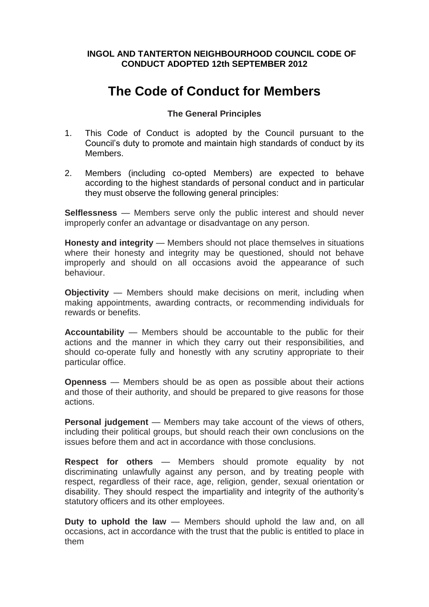# **INGOL AND TANTERTON NEIGHBOURHOOD COUNCIL CODE OF CONDUCT ADOPTED 12th SEPTEMBER 2012**

# **The Code of Conduct for Members**

# **The General Principles**

- 1. This Code of Conduct is adopted by the Council pursuant to the Council's duty to promote and maintain high standards of conduct by its Members.
- 2. Members (including co-opted Members) are expected to behave according to the highest standards of personal conduct and in particular they must observe the following general principles:

**Selflessness** — Members serve only the public interest and should never improperly confer an advantage or disadvantage on any person.

**Honesty and integrity** — Members should not place themselves in situations where their honesty and integrity may be questioned, should not behave improperly and should on all occasions avoid the appearance of such behaviour.

**Objectivity** — Members should make decisions on merit, including when making appointments, awarding contracts, or recommending individuals for rewards or benefits.

**Accountability** — Members should be accountable to the public for their actions and the manner in which they carry out their responsibilities, and should co-operate fully and honestly with any scrutiny appropriate to their particular office.

**Openness** — Members should be as open as possible about their actions and those of their authority, and should be prepared to give reasons for those actions.

**Personal judgement** — Members may take account of the views of others, including their political groups, but should reach their own conclusions on the issues before them and act in accordance with those conclusions.

**Respect for others** — Members should promote equality by not discriminating unlawfully against any person, and by treating people with respect, regardless of their race, age, religion, gender, sexual orientation or disability. They should respect the impartiality and integrity of the authority's statutory officers and its other employees.

**Duty to uphold the law** — Members should uphold the law and, on all occasions, act in accordance with the trust that the public is entitled to place in them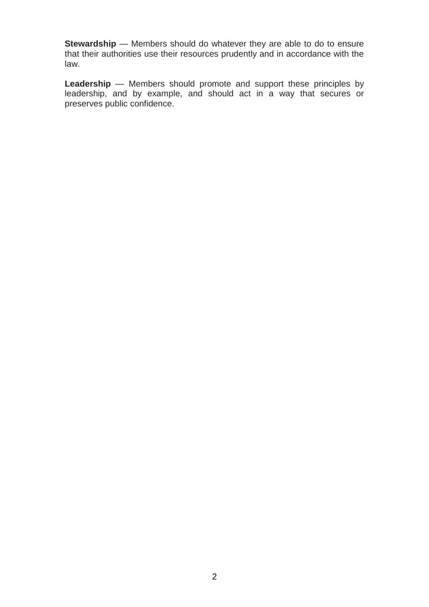**Stewardship** — Members should do whatever they are able to do to ensure that their authorities use their resources prudently and in accordance with the law.

**Leadership** — Members should promote and support these principles by leadership, and by example, and should act in a way that secures or preserves public confidence.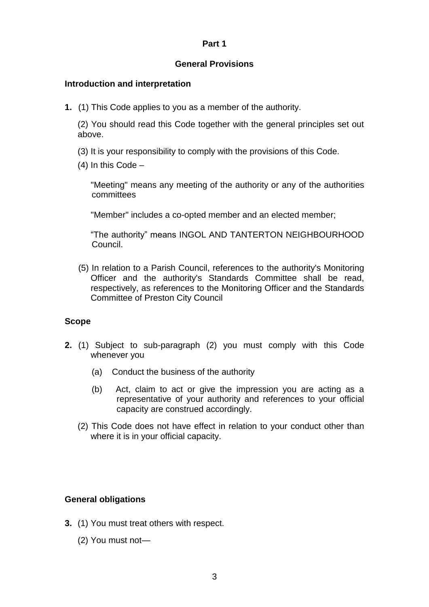## **Part 1**

## **General Provisions**

## **Introduction and interpretation**

**1.** (1) This Code applies to you as a member of the authority.

(2) You should read this Code together with the general principles set out above.

- (3) It is your responsibility to comply with the provisions of this Code.
- (4) In this Code –

"Meeting" means any meeting of the authority or any of the authorities committees

"Member" includes a co-opted member and an elected member;

"The authority" means INGOL AND TANTERTON NEIGHBOURHOOD Council.

(5) In relation to a Parish Council, references to the authority's Monitoring Officer and the authority's Standards Committee shall be read, respectively, as references to the Monitoring Officer and the Standards Committee of Preston City Council

#### **Scope**

- **2.** (1) Subject to sub-paragraph (2) you must comply with this Code whenever you
	- (a) Conduct the business of the authority
	- (b) Act, claim to act or give the impression you are acting as a representative of your authority and references to your official capacity are construed accordingly.
	- (2) This Code does not have effect in relation to your conduct other than where it is in your official capacity.

# **General obligations**

- **3.** (1) You must treat others with respect.
	- (2) You must not—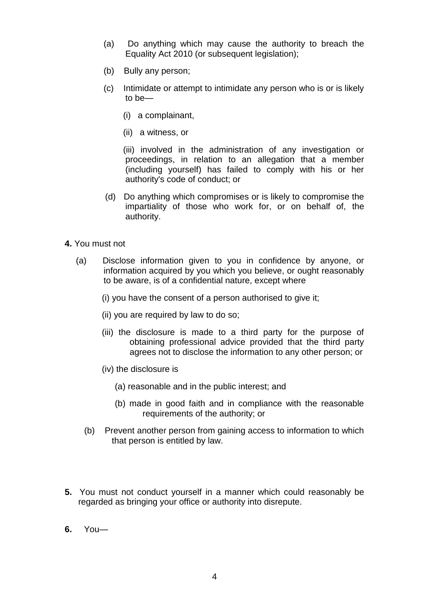- (a) Do anything which may cause the authority to breach the Equality Act 2010 (or subsequent legislation);
- (b) Bully any person;
- (c) Intimidate or attempt to intimidate any person who is or is likely to be—
	- (i) a complainant,
	- (ii) a witness, or

(iii) involved in the administration of any investigation or proceedings, in relation to an allegation that a member (including yourself) has failed to comply with his or her authority's code of conduct; or

- (d) Do anything which compromises or is likely to compromise the impartiality of those who work for, or on behalf of, the authority.
- **4.** You must not
	- (a) Disclose information given to you in confidence by anyone, or information acquired by you which you believe, or ought reasonably to be aware, is of a confidential nature, except where
		- (i) you have the consent of a person authorised to give it;
		- (ii) you are required by law to do so;
		- (iii) the disclosure is made to a third party for the purpose of obtaining professional advice provided that the third party agrees not to disclose the information to any other person; or
		- (iv) the disclosure is
			- (a) reasonable and in the public interest; and
			- (b) made in good faith and in compliance with the reasonable requirements of the authority; or
		- (b) Prevent another person from gaining access to information to which that person is entitled by law.
- **5.** You must not conduct yourself in a manner which could reasonably be regarded as bringing your office or authority into disrepute.
- **6.** You—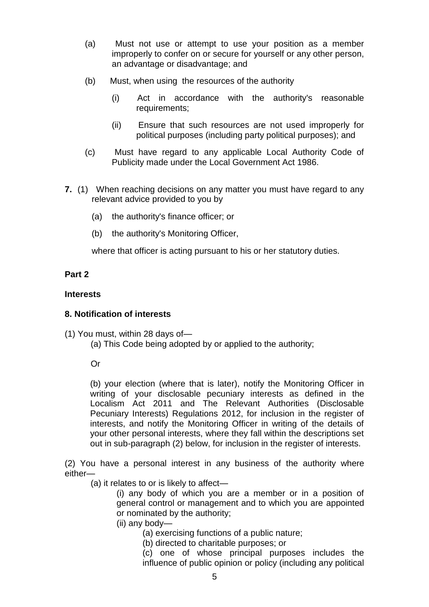- (a) Must not use or attempt to use your position as a member improperly to confer on or secure for yourself or any other person, an advantage or disadvantage; and
- (b) Must, when using the resources of the authority
	- (i) Act in accordance with the authority's reasonable requirements;
	- (ii) Ensure that such resources are not used improperly for political purposes (including party political purposes); and
- (c) Must have regard to any applicable Local Authority Code of Publicity made under the Local Government Act 1986.
- **7.** (1) When reaching decisions on any matter you must have regard to any relevant advice provided to you by
	- (a) the authority's finance officer; or
	- (b) the authority's Monitoring Officer,

where that officer is acting pursuant to his or her statutory duties.

# **Part 2**

# **Interests**

# **8. Notification of interests**

- (1) You must, within 28 days of—
	- (a) This Code being adopted by or applied to the authority;

# Or

(b) your election (where that is later), notify the Monitoring Officer in writing of your disclosable pecuniary interests as defined in the Localism Act 2011 and The Relevant Authorities (Disclosable Pecuniary Interests) Regulations 2012, for inclusion in the register of interests, and notify the Monitoring Officer in writing of the details of your other personal interests, where they fall within the descriptions set out in sub-paragraph (2) below, for inclusion in the register of interests.

(2) You have a personal interest in any business of the authority where either—

(a) it relates to or is likely to affect—

(i) any body of which you are a member or in a position of general control or management and to which you are appointed or nominated by the authority;

(ii) any body—

(a) exercising functions of a public nature;

(b) directed to charitable purposes; or

(c) one of whose principal purposes includes the influence of public opinion or policy (including any political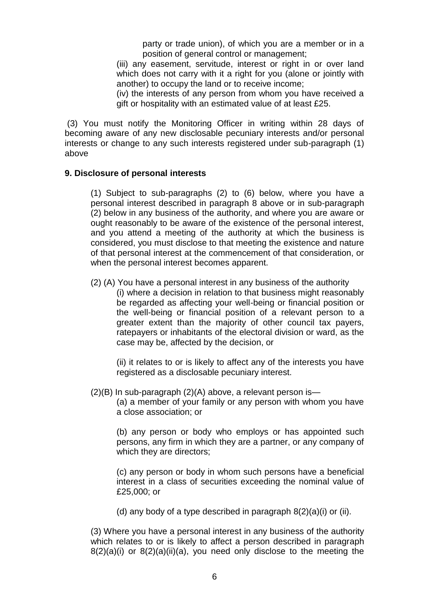party or trade union), of which you are a member or in a position of general control or management;

(iii) any easement, servitude, interest or right in or over land which does not carry with it a right for you (alone or jointly with another) to occupy the land or to receive income;

(iv) the interests of any person from whom you have received a gift or hospitality with an estimated value of at least £25.

(3) You must notify the Monitoring Officer in writing within 28 days of becoming aware of any new disclosable pecuniary interests and/or personal interests or change to any such interests registered under sub-paragraph (1) above

#### **9. Disclosure of personal interests**

(1) Subject to sub-paragraphs (2) to (6) below, where you have a personal interest described in paragraph 8 above or in sub-paragraph (2) below in any business of the authority, and where you are aware or ought reasonably to be aware of the existence of the personal interest, and you attend a meeting of the authority at which the business is considered, you must disclose to that meeting the existence and nature of that personal interest at the commencement of that consideration, or when the personal interest becomes apparent.

(2) (A) You have a personal interest in any business of the authority

(i) where a decision in relation to that business might reasonably be regarded as affecting your well-being or financial position or the well-being or financial position of a relevant person to a greater extent than the majority of other council tax payers, ratepayers or inhabitants of the electoral division or ward, as the case may be, affected by the decision, or

(ii) it relates to or is likely to affect any of the interests you have registered as a disclosable pecuniary interest.

 $(2)(B)$  In sub-paragraph  $(2)(A)$  above, a relevant person is—

(a) a member of your family or any person with whom you have a close association; or

(b) any person or body who employs or has appointed such persons, any firm in which they are a partner, or any company of which they are directors;

(c) any person or body in whom such persons have a beneficial interest in a class of securities exceeding the nominal value of £25,000; or

(d) any body of a type described in paragraph  $8(2)(a)(i)$  or (ii).

(3) Where you have a personal interest in any business of the authority which relates to or is likely to affect a person described in paragraph  $8(2)(a)(i)$  or  $8(2)(a)(ii)(a)$ , you need only disclose to the meeting the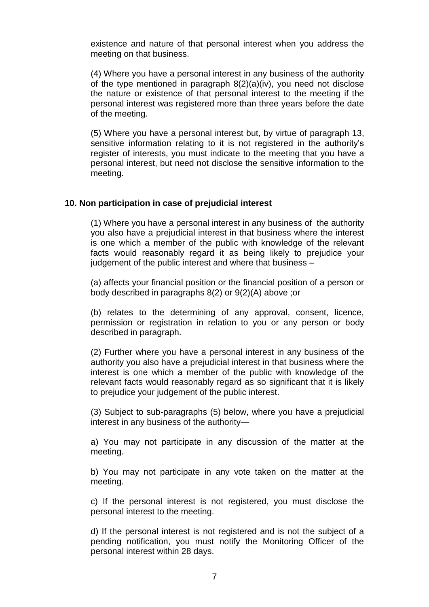existence and nature of that personal interest when you address the meeting on that business.

(4) Where you have a personal interest in any business of the authority of the type mentioned in paragraph 8(2)(a)(iv), you need not disclose the nature or existence of that personal interest to the meeting if the personal interest was registered more than three years before the date of the meeting.

(5) Where you have a personal interest but, by virtue of paragraph 13, sensitive information relating to it is not registered in the authority's register of interests, you must indicate to the meeting that you have a personal interest, but need not disclose the sensitive information to the meeting.

#### **10. Non participation in case of prejudicial interest**

(1) Where you have a personal interest in any business of the authority you also have a prejudicial interest in that business where the interest is one which a member of the public with knowledge of the relevant facts would reasonably regard it as being likely to prejudice your judgement of the public interest and where that business –

(a) affects your financial position or the financial position of a person or body described in paragraphs 8(2) or 9(2)(A) above ;or

(b) relates to the determining of any approval, consent, licence, permission or registration in relation to you or any person or body described in paragraph.

(2) Further where you have a personal interest in any business of the authority you also have a prejudicial interest in that business where the interest is one which a member of the public with knowledge of the relevant facts would reasonably regard as so significant that it is likely to prejudice your judgement of the public interest.

(3) Subject to sub-paragraphs (5) below, where you have a prejudicial interest in any business of the authority—

a) You may not participate in any discussion of the matter at the meeting.

b) You may not participate in any vote taken on the matter at the meeting.

c) If the personal interest is not registered, you must disclose the personal interest to the meeting.

d) If the personal interest is not registered and is not the subject of a pending notification, you must notify the Monitoring Officer of the personal interest within 28 days.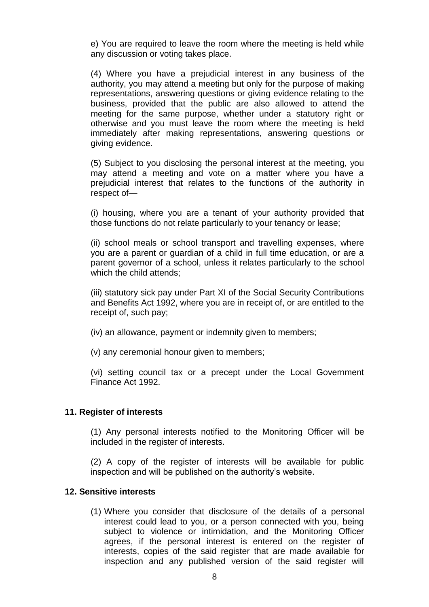e) You are required to leave the room where the meeting is held while any discussion or voting takes place.

(4) Where you have a prejudicial interest in any business of the authority, you may attend a meeting but only for the purpose of making representations, answering questions or giving evidence relating to the business, provided that the public are also allowed to attend the meeting for the same purpose, whether under a statutory right or otherwise and you must leave the room where the meeting is held immediately after making representations, answering questions or giving evidence.

(5) Subject to you disclosing the personal interest at the meeting, you may attend a meeting and vote on a matter where you have a prejudicial interest that relates to the functions of the authority in respect of—

(i) housing, where you are a tenant of your authority provided that those functions do not relate particularly to your tenancy or lease;

(ii) school meals or school transport and travelling expenses, where you are a parent or guardian of a child in full time education, or are a parent governor of a school, unless it relates particularly to the school which the child attends:

(iii) statutory sick pay under Part XI of the Social Security Contributions and Benefits Act 1992, where you are in receipt of, or are entitled to the receipt of, such pay;

(iv) an allowance, payment or indemnity given to members;

(v) any ceremonial honour given to members;

(vi) setting council tax or a precept under the Local Government Finance Act 1992.

#### **11. Register of interests**

(1) Any personal interests notified to the Monitoring Officer will be included in the register of interests.

(2) A copy of the register of interests will be available for public inspection and will be published on the authority's website.

#### **12. Sensitive interests**

(1) Where you consider that disclosure of the details of a personal interest could lead to you, or a person connected with you, being subject to violence or intimidation, and the Monitoring Officer agrees, if the personal interest is entered on the register of interests, copies of the said register that are made available for inspection and any published version of the said register will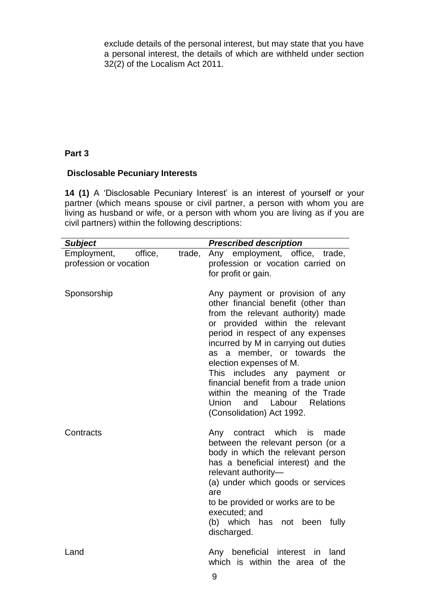exclude details of the personal interest, but may state that you have a personal interest, the details of which are withheld under section 32(2) of the Localism Act 2011.

# **Part 3**

# **Disclosable Pecuniary Interests**

**14 (1)** A 'Disclosable Pecuniary Interest' is an interest of yourself or your partner (which means spouse or civil partner, a person with whom you are living as husband or wife, or a person with whom you are living as if you are civil partners) within the following descriptions:

| <b>Subject</b>                                   |        | <b>Prescribed description</b>                                                                                                                                                                                                                                                                                                                                                                                                                                        |
|--------------------------------------------------|--------|----------------------------------------------------------------------------------------------------------------------------------------------------------------------------------------------------------------------------------------------------------------------------------------------------------------------------------------------------------------------------------------------------------------------------------------------------------------------|
| Employment,<br>office,<br>profession or vocation | trade, | Any employment, office, trade,<br>profession or vocation carried on<br>for profit or gain.                                                                                                                                                                                                                                                                                                                                                                           |
| Sponsorship                                      |        | Any payment or provision of any<br>other financial benefit (other than<br>from the relevant authority) made<br>or provided within the relevant<br>period in respect of any expenses<br>incurred by M in carrying out duties<br>a member, or towards the<br>as<br>election expenses of M.<br>This includes any payment or<br>financial benefit from a trade union<br>within the meaning of the Trade<br>Labour Relations<br>Union<br>and<br>(Consolidation) Act 1992. |
| Contracts                                        |        | Any contract<br>which<br>is<br>made<br>between the relevant person (or a<br>body in which the relevant person<br>has a beneficial interest) and the<br>relevant authority-<br>(a) under which goods or services<br>are<br>to be provided or works are to be<br>executed; and<br>(b) which has not been fully<br>discharged.                                                                                                                                          |
| Land                                             |        | Any beneficial<br>interest<br>land<br>in.<br>which is within the area of the                                                                                                                                                                                                                                                                                                                                                                                         |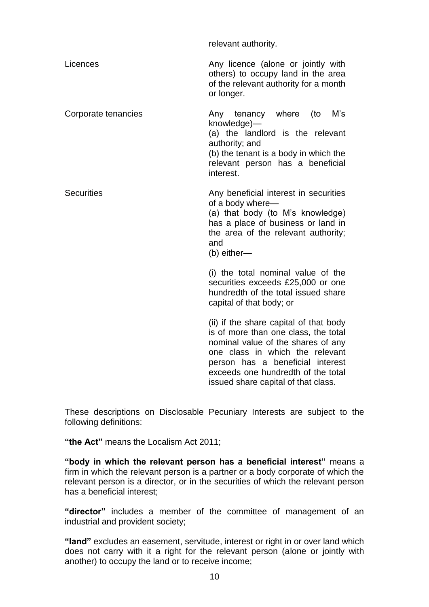|                     | relevant authority.                                                                                                                                                                                                                                                      |
|---------------------|--------------------------------------------------------------------------------------------------------------------------------------------------------------------------------------------------------------------------------------------------------------------------|
| Licences            | Any licence (alone or jointly with<br>others) to occupy land in the area<br>of the relevant authority for a month<br>or longer.                                                                                                                                          |
| Corporate tenancies | M's<br>Any tenancy where<br>(to<br>knowledge)-<br>(a) the landlord is the relevant<br>authority; and<br>(b) the tenant is a body in which the<br>relevant person has a beneficial<br>interest.                                                                           |
| <b>Securities</b>   | Any beneficial interest in securities<br>of a body where-<br>(a) that body (to M's knowledge)<br>has a place of business or land in<br>the area of the relevant authority;<br>and<br>(b) either-                                                                         |
|                     | (i) the total nominal value of the<br>securities exceeds £25,000 or one<br>hundredth of the total issued share<br>capital of that body; or                                                                                                                               |
|                     | (ii) if the share capital of that body<br>is of more than one class, the total<br>nominal value of the shares of any<br>one class in which the relevant<br>person has a beneficial interest<br>exceeds one hundredth of the total<br>issued share capital of that class. |

These descriptions on Disclosable Pecuniary Interests are subject to the following definitions:

**"the Act"** means the Localism Act 2011;

**"body in which the relevant person has a beneficial interest"** means a firm in which the relevant person is a partner or a body corporate of which the relevant person is a director, or in the securities of which the relevant person has a beneficial interest;

**"director"** includes a member of the committee of management of an industrial and provident society;

**"land"** excludes an easement, servitude, interest or right in or over land which does not carry with it a right for the relevant person (alone or jointly with another) to occupy the land or to receive income;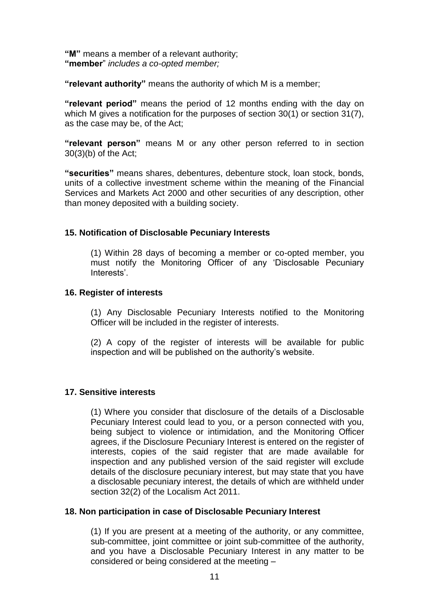**"M"** means a member of a relevant authority; **"member**" *includes a co-opted member;*

**"relevant authority"** means the authority of which M is a member;

**"relevant period"** means the period of 12 months ending with the day on which M gives a notification for the purposes of section 30(1) or section 31(7), as the case may be, of the Act;

**"relevant person"** means M or any other person referred to in section 30(3)(b) of the Act;

**"securities"** means shares, debentures, debenture stock, loan stock, bonds, units of a collective investment scheme within the meaning of the Financial Services and Markets Act 2000 and other securities of any description, other than money deposited with a building society.

## **15. Notification of Disclosable Pecuniary Interests**

(1) Within 28 days of becoming a member or co-opted member, you must notify the Monitoring Officer of any 'Disclosable Pecuniary Interests'.

#### **16. Register of interests**

(1) Any Disclosable Pecuniary Interests notified to the Monitoring Officer will be included in the register of interests.

(2) A copy of the register of interests will be available for public inspection and will be published on the authority's website.

#### **17. Sensitive interests**

(1) Where you consider that disclosure of the details of a Disclosable Pecuniary Interest could lead to you, or a person connected with you, being subject to violence or intimidation, and the Monitoring Officer agrees, if the Disclosure Pecuniary Interest is entered on the register of interests, copies of the said register that are made available for inspection and any published version of the said register will exclude details of the disclosure pecuniary interest, but may state that you have a disclosable pecuniary interest, the details of which are withheld under section 32(2) of the Localism Act 2011.

#### **18. Non participation in case of Disclosable Pecuniary Interest**

(1) If you are present at a meeting of the authority, or any committee, sub-committee, joint committee or joint sub-committee of the authority, and you have a Disclosable Pecuniary Interest in any matter to be considered or being considered at the meeting –